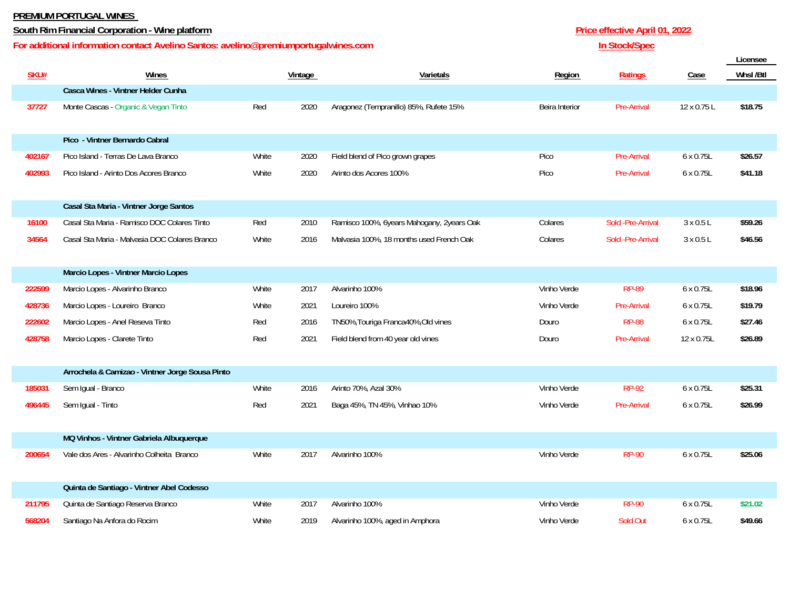## **PREMIUM PORTUGAL WINES**

## **South Rim Financial Corporation - Wine platform Price effective April 01, 2022**

## **For additional information contact Avelino Santos: avelino@premiumportugalwines.com**

|        |                                                 |       |         |                                           |                |                    |             | Licensee |
|--------|-------------------------------------------------|-------|---------|-------------------------------------------|----------------|--------------------|-------------|----------|
| SKU#   | Wines                                           |       | Vintage | Varietals                                 | <b>Region</b>  | <b>Ratings</b>     | Case        | Whsl/Btl |
|        | Casca Wines - Vintner Helder Cunha              |       |         |                                           |                |                    |             |          |
| 37727  | Monte Cascas - Organic & Vegan Tinto            | Red   | 2020    | Aragonez (Tempranillo) 85%, Rufete 15%    | Beira Interior | <b>Pre-Arrival</b> | 12 x 0.75 L | \$18.75  |
|        |                                                 |       |         |                                           |                |                    |             |          |
|        | Pico - Vintner Bernardo Cabral                  |       |         |                                           |                |                    |             |          |
| 402167 | Pico Island - Terras De Lava Branco             | White | 2020    | Field blend of Pico grown grapes          | Pico           | Pre-Arrival        | 6 x 0.75L   | \$26.57  |
| 402993 | Pico Island - Arinto Dos Acores Branco          | White | 2020    | Arinto dos Acores 100%                    | Pico           | Pre-Arrival        | 6 x 0.75L   | \$41.18  |
|        |                                                 |       |         |                                           |                |                    |             |          |
|        | Casal Sta Maria - Vintner Jorge Santos          |       |         |                                           |                |                    |             |          |
| 16100  | Casal Sta Maria - Ramisco DOC Colares Tinto     | Red   | 2010    | Ramisco 100%, 6years Mahogany, 2years Oak | Colares        | Sold -Pre-Arrival  | 3 x 0.5 L   | \$59.26  |
| 34564  | Casal Sta Maria - Malvasia DOC Colares Branco   | White | 2016    | Malvasia 100%, 18 months used French Oak  | Colares        | Sold -Pre-Arrival  | 3 x 0.5 L   | \$46.56  |
|        |                                                 |       |         |                                           |                |                    |             |          |
|        | Marcio Lopes - Vintner Marcio Lopes             |       |         |                                           |                |                    |             |          |
| 222599 | Marcio Lopes - Alvarinho Branco                 | White | 2017    | Alvarinho 100%                            | Vinho Verde    | <b>RP-89</b>       | 6 x 0.75L   | \$18.96  |
| 428736 | Marcio Lopes - Loureiro Branco                  | White | 2021    | Loureiro 100%                             | Vinho Verde    | Pre-Arrival        | 6 x 0.75L   | \$19.79  |
| 222602 | Marcio Lopes - Anel Reseva Tinto                | Red   | 2016    | TN50%, Touriga Franca 40%, Old vines      | Douro          | <b>RP-88</b>       | 6 x 0.75L   | \$27.46  |
| 428758 | Marcio Lopes - Clarete Tinto                    | Red   | 2021    | Field blend from 40 year old vines        | Douro          | Pre-Arrival        | 12 x 0.75L  | \$26.89  |
|        |                                                 |       |         |                                           |                |                    |             |          |
|        | Arrochela & Camizao - Vintner Jorge Sousa Pinto |       |         |                                           |                |                    |             |          |
| 185031 | Sem Igual - Branco                              | White | 2016    | Arinto 70%, Azal 30%                      | Vinho Verde    | <b>RP-92</b>       | 6 x 0.75L   | \$25.31  |
| 496445 | Sem Igual - Tinto                               | Red   | 2021    | Baga 45%, TN 45%, Vinhao 10%              | Vinho Verde    | <b>Pre-Arrival</b> | 6 x 0.75L   | \$26.99  |
|        |                                                 |       |         |                                           |                |                    |             |          |
|        | MQ Vinhos - Vintner Gabriela Albuquerque        |       |         |                                           |                |                    |             |          |
| 200654 | Vale dos Ares - Alvarinho Colheita Branco       | White | 2017    | Alvarinho 100%                            | Vinho Verde    | <b>RP-90</b>       | 6 x 0.75L   | \$25.06  |
|        |                                                 |       |         |                                           |                |                    |             |          |
|        | Quinta de Santiago - Vintner Abel Codesso       |       |         |                                           |                |                    |             |          |
| 211795 | Quinta de Santiago Reserva Branco               | White | 2017    | Alvarinho 100%                            | Vinho Verde    | <b>RP-90</b>       | 6 x 0.75L   | \$21.02  |
| 568204 | Santiago Na Anfora do Rocim                     | White | 2019    | Alvarinho 100%, aged in Amphora           | Vinho Verde    | Sold Out           | 6 x 0.75L   | \$49.66  |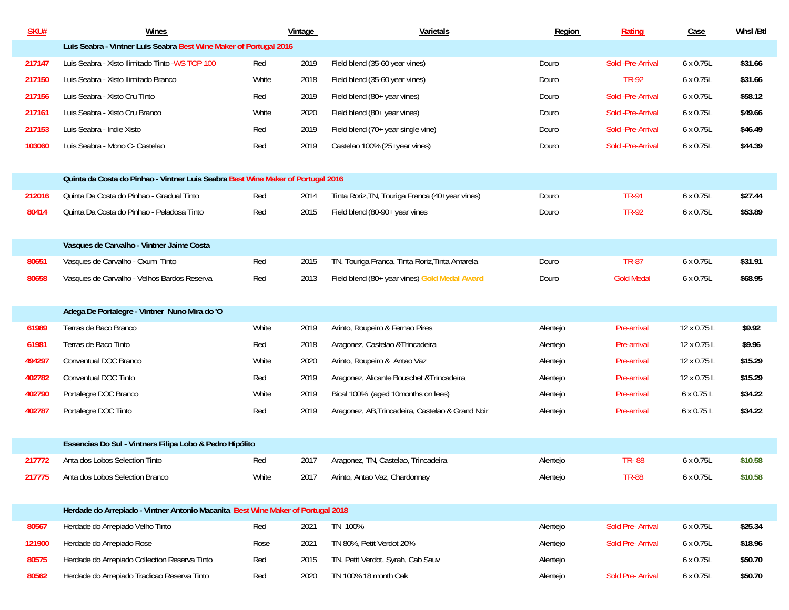| <b>SKU#</b> | Wines                                                                            |       | Vintage | Varietals                                        | Region   | Rating             | Case        | Whsl/Btl |  |  |  |
|-------------|----------------------------------------------------------------------------------|-------|---------|--------------------------------------------------|----------|--------------------|-------------|----------|--|--|--|
|             | Luis Seabra - Vintner Luis Seabra Best Wine Maker of Portugal 2016               |       |         |                                                  |          |                    |             |          |  |  |  |
| 217147      | Luis Seabra - Xisto Ilimitado Tinto - WS TOP 100                                 | Red   | 2019    | Field blend (35-60 year vines)                   | Douro    | Sold - Pre-Arrival | 6 x 0.75L   | \$31.66  |  |  |  |
| 217150      | Luis Seabra - Xisto Ilimitado Branco                                             | White | 2018    | Field blend (35-60 year vines)                   | Douro    | <b>TR-92</b>       | 6 x 0.75L   | \$31.66  |  |  |  |
| 217156      | Luis Seabra - Xisto Cru Tinto                                                    | Red   | 2019    | Field blend (80+ year vines)                     | Douro    | Sold - Pre-Arrival | 6 x 0.75L   | \$58.12  |  |  |  |
| 217161      | Luis Seabra - Xisto Cru Branco                                                   | White | 2020    | Field blend (80+ year vines)                     | Douro    | Sold - Pre-Arrival | 6 x 0.75L   | \$49.66  |  |  |  |
| 217153      | Luis Seabra - Indie Xisto                                                        | Red   | 2019    | Field blend (70+ year single vine)               | Douro    | Sold -Pre-Arrival  | 6 x 0.75L   | \$46.49  |  |  |  |
| 103060      | Luis Seabra - Mono C- Castelao                                                   | Red   | 2019    | Castelao 100% (25+year vines)                    | Douro    | Sold -Pre-Arrival  | 6 x 0.75L   | \$44.39  |  |  |  |
|             |                                                                                  |       |         |                                                  |          |                    |             |          |  |  |  |
|             | Quinta da Costa do Pinhao - Vintner Luis Seabra Best Wine Maker of Portugal 2016 |       |         |                                                  |          |                    |             |          |  |  |  |
| 212016      | Quinta Da Costa do Pinhao - Gradual Tinto                                        | Red   | 2014    | Tinta Roriz, TN, Touriga Franca (40+year vines)  | Douro    | <b>TR-91</b>       | 6 x 0.75L   | \$27.44  |  |  |  |
| 80414       | Quinta Da Costa do Pinhao - Peladosa Tinto                                       | Red   | 2015    | Field blend (80-90+ year vines                   | Douro    | <b>TR-92</b>       | 6 x 0.75L   | \$53.89  |  |  |  |
|             |                                                                                  |       |         |                                                  |          |                    |             |          |  |  |  |
|             | Vasques de Carvalho - Vintner Jaime Costa                                        |       |         |                                                  |          |                    |             |          |  |  |  |
| 80651       | Vasques de Carvalho - Oxum Tinto                                                 | Red   | 2015    | TN, Touriga Franca, Tinta Roriz, Tinta Amarela   | Douro    | <b>TR-87</b>       | 6 x 0.75L   | \$31.91  |  |  |  |
| 80658       | Vasques de Carvalho - Velhos Bardos Reserva                                      | Red   | 2013    | Field blend (80+ year vines) Gold Medal Award    | Douro    | <b>Gold Medal</b>  | 6 x 0.75L   | \$68.95  |  |  |  |
|             |                                                                                  |       |         |                                                  |          |                    |             |          |  |  |  |
|             | Adega De Portalegre - Vintner Nuno Mira do 'O                                    |       |         |                                                  |          |                    |             |          |  |  |  |
| 61989       | Terras de Baco Branco                                                            | White | 2019    | Arinto, Roupeiro & Fernao Pires                  | Alentejo | Pre-arrival        | 12 x 0.75 L | \$9.92   |  |  |  |
| 61981       | Terras de Baco Tinto                                                             | Red   | 2018    | Aragonez, Castelao & Trincadeira                 | Alentejo | Pre-arrival        | 12 x 0.75 L | \$9.96   |  |  |  |
| 494297      | Conventual DOC Branco                                                            | White | 2020    | Arinto, Roupeiro & Antao Vaz                     | Alentejo | Pre-arrival        | 12 x 0.75 L | \$15.29  |  |  |  |
| 402782      | Conventual DOC Tinto                                                             | Red   | 2019    | Aragonez, Alicante Bouschet & Trincadeira        | Alentejo | Pre-arrival        | 12 x 0.75 L | \$15.29  |  |  |  |
| 402790      | Portalegre DOC Branco                                                            | White | 2019    | Bical 100% (aged 10months on lees)               | Alentejo | Pre-arrival        | 6 x 0.75 L  | \$34.22  |  |  |  |
| 402787      | Portalegre DOC Tinto                                                             | Red   | 2019    | Aragonez, AB, Trincadeira, Castelao & Grand Noir | Alentejo | Pre-arrival        | 6 x 0.75 L  | \$34.22  |  |  |  |
|             |                                                                                  |       |         |                                                  |          |                    |             |          |  |  |  |
|             | Essencias Do Sul - Vintners Filipa Lobo & Pedro Hipólito                         |       |         |                                                  |          |                    |             |          |  |  |  |
| 217772      | Anta dos Lobos Selection Tinto                                                   | Red   | 2017    | Aragonez, TN, Castelao, Trincadeira              | Alentejo | <b>TR-88</b>       | 6 x 0.75L   | \$10.58  |  |  |  |
| 217775      | Anta dos Lobos Selection Branco                                                  | White | 2017    | Arinto, Antao Vaz, Chardonnay                    | Alentejo | <b>TR-88</b>       | 6 x 0.75L   | \$10.58  |  |  |  |
|             |                                                                                  |       |         |                                                  |          |                    |             |          |  |  |  |
|             | Herdade do Arrepiado - Vintner Antonio Macanita Best Wine Maker of Portugal 2018 |       |         |                                                  |          |                    |             |          |  |  |  |
| 80567       | Herdade do Arrepiado Velho Tinto                                                 | Red   | 2021    | TN 100%                                          | Alentejo | Sold Pre- Arrival  | 6 x 0.75L   | \$25.34  |  |  |  |
| 121900      | Herdade do Arrepiado Rose                                                        | Rose  | 2021    | TN 80%, Petit Verdot 20%                         | Alentejo | Sold Pre- Arrival  | 6 x 0.75L   | \$18.96  |  |  |  |
| 80575       | Herdade do Arrepiado Collection Reserva Tinto                                    | Red   | 2015    | TN, Petit Verdot, Syrah, Cab Sauv                | Alentejo |                    | 6 x 0.75L   | \$50.70  |  |  |  |
| 80562       | Herdade do Arrepiado Tradicao Reserva Tinto                                      | Red   | 2020    | TN 100% 18 month Oak                             | Alentejo | Sold Pre- Arrival  | 6 x 0.75L   | \$50.70  |  |  |  |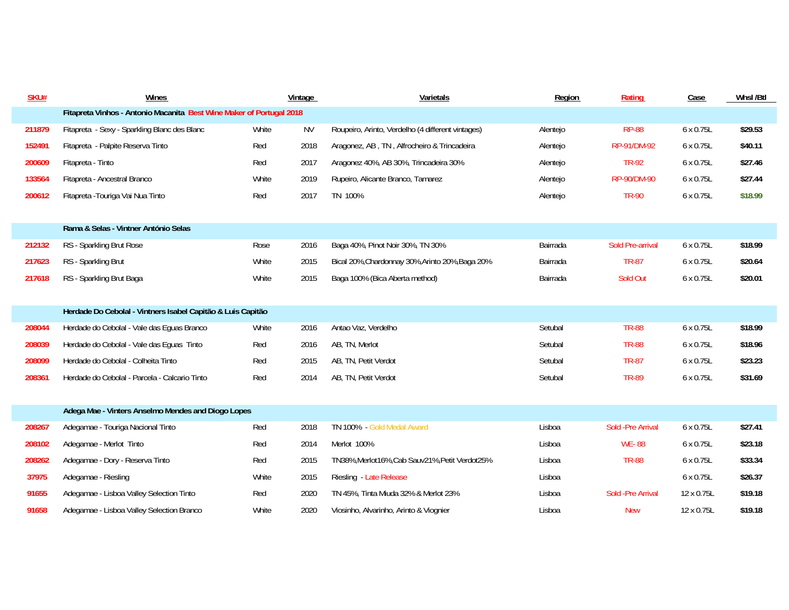| SKU#   | Wines                                                                |       | Vintage   | Varietals                                         | Region   | Rating             | Case       | Whsl/Btl |  |  |  |
|--------|----------------------------------------------------------------------|-------|-----------|---------------------------------------------------|----------|--------------------|------------|----------|--|--|--|
|        | Fitapreta Vinhos - Antonio Macanita Best Wine Maker of Portugal 2018 |       |           |                                                   |          |                    |            |          |  |  |  |
| 211879 | Fitapreta - Sexy - Sparkling Blanc des Blanc                         | White | <b>NV</b> | Roupeiro, Arinto, Verdelho (4 different vintages) | Alentejo | <b>RP-88</b>       | 6 x 0.75L  | \$29.53  |  |  |  |
| 152491 | Fitapreta - Palpite Reserva Tinto                                    | Red   | 2018      | Aragonez, AB, TN, Alfrocheiro & Trincadeira       | Alentejo | RP-91/DM-92        | 6 x 0.75L  | \$40.11  |  |  |  |
| 200609 | Fitapreta - Tinto                                                    | Red   | 2017      | Aragonez 40%, AB 30%, Trincadeira 30%             | Alentejo | <b>TR-92</b>       | 6 x 0.75L  | \$27.46  |  |  |  |
| 133564 | Fitapreta - Ancestral Branco                                         | White | 2019      | Rupeiro, Alicante Branco, Tamarez                 | Alentejo | RP-90/DM-90        | 6 x 0.75L  | \$27.44  |  |  |  |
| 200612 | Fitapreta - Touriga Vai Nua Tinto                                    | Red   | 2017      | TN 100%                                           | Alentejo | <b>TR-90</b>       | 6 x 0.75L  | \$18.99  |  |  |  |
|        |                                                                      |       |           |                                                   |          |                    |            |          |  |  |  |
|        | Rama & Selas - Vintner António Selas                                 |       |           |                                                   |          |                    |            |          |  |  |  |
| 212132 | RS - Sparkling Brut Rose                                             | Rose  | 2016      | Baga 40%, Pinot Noir 30%, TN 30%                  | Bairrada | Sold Pre-arrival   | 6 x 0.75L  | \$18.99  |  |  |  |
| 217623 | RS - Sparkling Brut                                                  | White | 2015      | Bical 20%, Chardonnay 30%, Arinto 20%, Baga 20%   | Bairrada | <b>TR-87</b>       | 6 x 0.75L  | \$20.64  |  |  |  |
| 217618 | RS - Sparkling Brut Baga                                             | White | 2015      | Baga 100% (Bica Aberta method)                    | Bairrada | Sold Out           | 6 x 0.75L  | \$20.01  |  |  |  |
|        |                                                                      |       |           |                                                   |          |                    |            |          |  |  |  |
|        | Herdade Do Cebolal - Vintners Isabel Capitão & Luis Capitão          |       |           |                                                   |          |                    |            |          |  |  |  |
| 208044 | Herdade do Cebolal - Vale das Eguas Branco                           | White | 2016      | Antao Vaz, Verdelho                               | Setubal  | <b>TR-88</b>       | 6 x 0.75L  | \$18.99  |  |  |  |
| 208039 | Herdade do Cebolal - Vale das Eguas Tinto                            | Red   | 2016      | AB, TN, Merlot                                    | Setubal  | <b>TR-88</b>       | 6 x 0.75L  | \$18.96  |  |  |  |
| 208099 | Herdade do Cebolal - Colheita Tinto                                  | Red   | 2015      | AB, TN, Petit Verdot                              | Setubal  | <b>TR-87</b>       | 6 x 0.75L  | \$23.23  |  |  |  |
| 208361 | Herdade do Cebolal - Parcela - Calcario Tinto                        | Red   | 2014      | AB, TN, Petit Verdot                              | Setubal  | <b>TR-89</b>       | 6 x 0.75L  | \$31.69  |  |  |  |
|        |                                                                      |       |           |                                                   |          |                    |            |          |  |  |  |
|        | Adega Mae - Vinters Anselmo Mendes and Diogo Lopes                   |       |           |                                                   |          |                    |            |          |  |  |  |
| 208267 | Adegamae - Touriga Nacional Tinto                                    | Red   | 2018      | TN 100% - Gold Medal Award                        | Lisboa   | Sold - Pre Arrival | 6 x 0.75L  | \$27.41  |  |  |  |
| 208102 | Adegamae - Merlot Tinto                                              | Red   | 2014      | Merlot 100%                                       | Lisboa   | <b>WE-88</b>       | 6 x 0.75L  | \$23.18  |  |  |  |
| 208262 | Adegamae - Dory - Reserva Tinto                                      | Red   | 2015      | TN38%, Merlot16%, Cab Sauv21%, Petit Verdot25%    | Lisboa   | <b>TR-88</b>       | 6 x 0.75L  | \$33.34  |  |  |  |
| 37975  | Adegamae - Riesling                                                  | White | 2015      | Riesling - Late Release                           | Lisboa   |                    | 6 x 0.75L  | \$26.37  |  |  |  |
| 91655  | Adegamae - Lisboa Valley Selection Tinto                             | Red   | 2020      | TN 45%, Tinta Miuda 32% & Merlot 23%              | Lisboa   | Sold - Pre Arrival | 12 x 0.75L | \$19.18  |  |  |  |
| 91658  | Adegamae - Lisboa Valley Selection Branco                            | White | 2020      | Viosinho, Alvarinho, Arinto & Viognier            | Lisboa   | <b>New</b>         | 12 x 0.75L | \$19.18  |  |  |  |